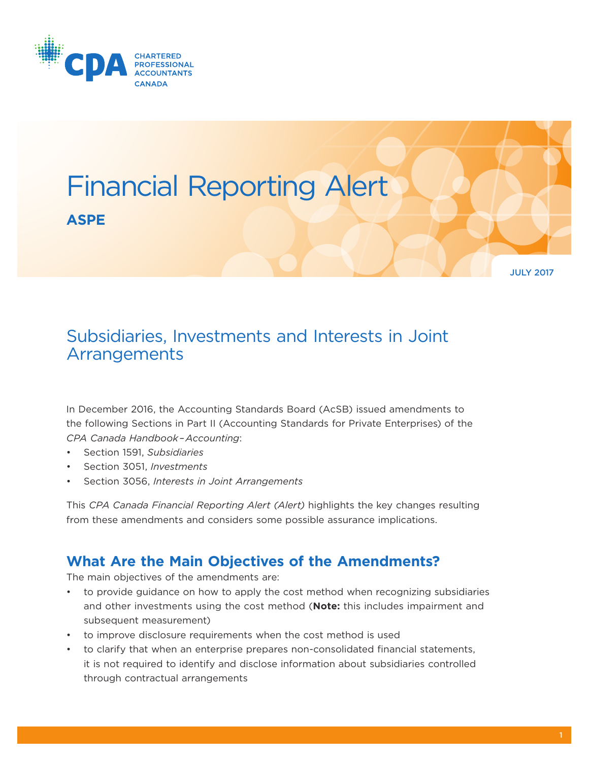



# Subsidiaries, Investments and Interests in Joint **Arrangements**

In December 2016, the Accounting Standards Board (AcSB) issued amendments to the following Sections in Part II (Accounting Standards for Private Enterprises) of the *CPA Canada Handbook – Accounting*:

- Section 1591, *Subsidiaries*
- Section 3051, *Investments*
- Section 3056, *Interests in Joint Arrangements*

This *CPA Canada Financial Reporting Alert (Alert)* highlights the key changes resulting from these amendments and considers some possible assurance implications.

## **What Are the Main Objectives of the Amendments?**

The main objectives of the amendments are:

- to provide guidance on how to apply the cost method when recognizing subsidiaries and other investments using the cost method (**Note:** this includes impairment and subsequent measurement)
- to improve disclosure requirements when the cost method is used
- to clarify that when an enterprise prepares non-consolidated financial statements, it is not required to identify and disclose information about subsidiaries controlled through contractual arrangements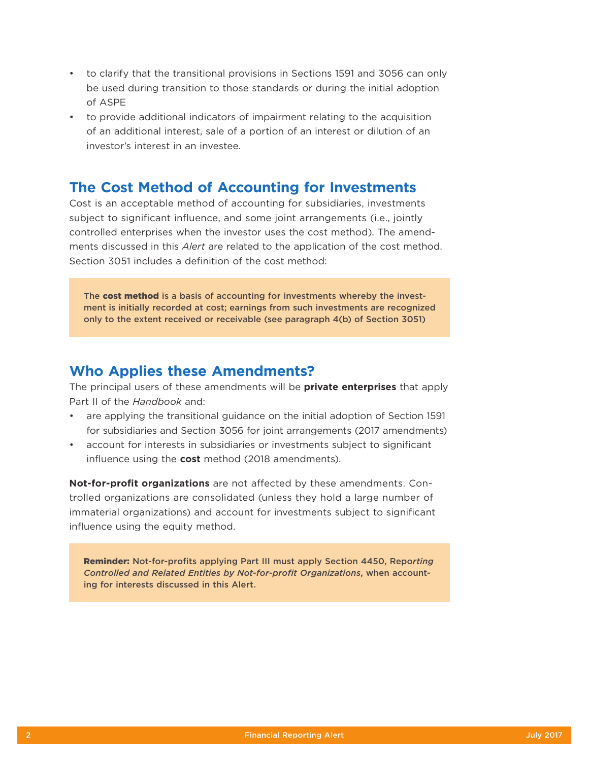- to clarify that the transitional provisions in Sections 1591 and 3056 can only be used during transition to those standards or during the initial adoption of ASPE
- to provide additional indicators of impairment relating to the acquisition of an additional interest, sale of a portion of an interest or dilution of an investor's interest in an investee.

## **The Cost Method of Accounting for Investments**

Cost is an acceptable method of accounting for subsidiaries, investments subject to significant influence, and some joint arrangements (i.e., jointly controlled enterprises when the investor uses the cost method). The amendments discussed in this *Alert* are related to the application of the cost method. Section 3051 includes a definition of the cost method:

The cost method is a basis of accounting for investments whereby the investment is initially recorded at cost; earnings from such investments are recognized only to the extent received or receivable (see paragraph 4(b) of Section 3051)

## **Who Applies these Amendments?**

The principal users of these amendments will be **private enterprises** that apply Part II of the *Handbook* and:

- are applying the transitional guidance on the initial adoption of Section 1591 for subsidiaries and Section 3056 for joint arrangements (2017 amendments)
- account for interests in subsidiaries or investments subject to significant influence using the **cost** method (2018 amendments).

**Not-for-profit organizations** are not affected by these amendments. Controlled organizations are consolidated (unless they hold a large number of immaterial organizations) and account for investments subject to significant influence using the equity method.

Reminder: Not-for-profits applying Part III must apply Section 4450, Repo*rting Controlled and Related Entities by Not-for-profit Organizations*, when accounting for interests discussed in this Alert.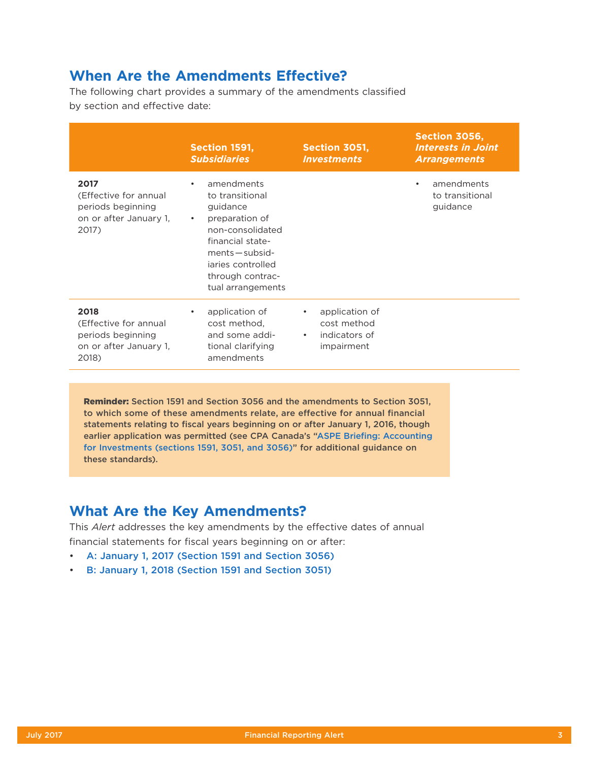## **When Are the Amendments Effective?**

The following chart provides a summary of the amendments classified by section and effective date:

|                                                                                       | <b>Section 1591,</b><br><b>Subsidiaries</b>                                                                                                                                                                       | Section 3051,<br><i><b>Investments</b></i>                                             | Section 3056,<br><b>Interests in Joint</b><br><b>Arrangements</b> |
|---------------------------------------------------------------------------------------|-------------------------------------------------------------------------------------------------------------------------------------------------------------------------------------------------------------------|----------------------------------------------------------------------------------------|-------------------------------------------------------------------|
| 2017<br>(Effective for annual<br>periods beginning<br>on or after January 1,<br>2017) | amendments<br>$\bullet$<br>to transitional<br>guidance<br>preparation of<br>$\bullet$<br>non-consolidated<br>financial state-<br>$ments - subsid -$<br>jaries controlled<br>through contrac-<br>tual arrangements |                                                                                        | amendments<br>$\bullet$<br>to transitional<br>guidance            |
| 2018<br>(Effective for annual<br>periods beginning<br>on or after January 1,<br>2018) | application of<br>$\bullet$<br>cost method,<br>and some addi-<br>tional clarifying<br>amendments                                                                                                                  | application of<br>$\bullet$<br>cost method<br>indicators of<br>$\bullet$<br>impairment |                                                                   |

Reminder: Section 1591 and Section 3056 and the amendments to Section 3051, to which some of these amendments relate, are effective for annual financial statements relating to fiscal years beginning on or after January 1, 2016, though earlier application was permitted (see CPA Canada's ["ASPE Briefing: Accounting](https://www.cpacanada.ca/en/business-and-accounting-resources/financial-and-non-financial-reporting/accounting-standards-for-private-enterprises-aspe/publications/aspe-briefing-accounting-for-investments)  [for Investments \(sections 1591, 3051, and 3056\)](https://www.cpacanada.ca/en/business-and-accounting-resources/financial-and-non-financial-reporting/accounting-standards-for-private-enterprises-aspe/publications/aspe-briefing-accounting-for-investments)" for additional guidance on these standards).

## **What Are the Key Amendments?**

This *Alert* addresses the key amendments by the effective dates of annual financial statements for fiscal years beginning on or after:

- [A: January 1, 2017 \(Section 1591 and Section 3056\)](#page-3-0)
- [B: January 1, 2018 \(Section 1591 and Section 3051\)](#page-4-0)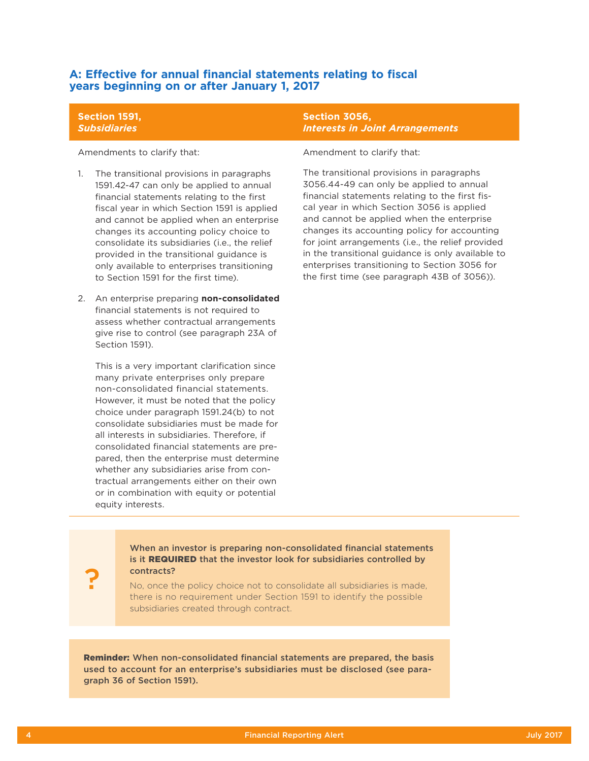### <span id="page-3-0"></span>**A: Effective for annual financial statements relating to fiscal years beginning on or after January 1, 2017**

#### **Section 1591,**  *Subsidiaries*

Amendments to clarify that:

- 1. The transitional provisions in paragraphs 1591.42-47 can only be applied to annual financial statements relating to the first fiscal year in which Section 1591 is applied and cannot be applied when an enterprise changes its accounting policy choice to consolidate its subsidiaries (i.e., the relief provided in the transitional guidance is only available to enterprises transitioning to Section 1591 for the first time).
- 2. An enterprise preparing **non-consolidated** financial statements is not required to assess whether contractual arrangements give rise to control (see paragraph 23A of Section 1591).

This is a very important clarification since many private enterprises only prepare non-consolidated financial statements. However, it must be noted that the policy choice under paragraph 1591.24(b) to not consolidate subsidiaries must be made for all interests in subsidiaries. Therefore, if consolidated financial statements are prepared, then the enterprise must determine whether any subsidiaries arise from contractual arrangements either on their own or in combination with equity or potential equity interests.

### **Section 3056,**  *Interests in Joint Arrangements*

Amendment to clarify that:

The transitional provisions in paragraphs 3056.44-49 can only be applied to annual financial statements relating to the first fiscal year in which Section 3056 is applied and cannot be applied when the enterprise changes its accounting policy for accounting for joint arrangements (i.e., the relief provided in the transitional guidance is only available to enterprises transitioning to Section 3056 for the first time (see paragraph 43B of 3056)).

When an investor is preparing non-consolidated financial statements is it REQUIRED that the investor look for subsidiaries controlled by contracts?

No, once the policy choice not to consolidate all subsidiaries is made, there is no requirement under Section 1591 to identify the possible subsidiaries created through contract.

Reminder: When non-consolidated financial statements are prepared, the basis used to account for an enterprise's subsidiaries must be disclosed (see paragraph 36 of Section 1591).

?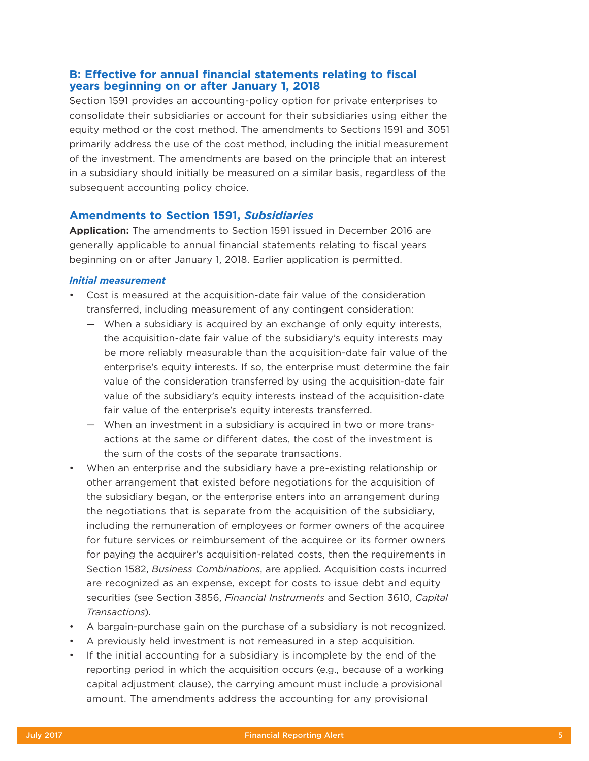### <span id="page-4-0"></span>**B: Effective for annual financial statements relating to fiscal years beginning on or after January 1, 2018**

Section 1591 provides an accounting-policy option for private enterprises to consolidate their subsidiaries or account for their subsidiaries using either the equity method or the cost method. The amendments to Sections 1591 and 3051 primarily address the use of the cost method, including the initial measurement of the investment. The amendments are based on the principle that an interest in a subsidiary should initially be measured on a similar basis, regardless of the subsequent accounting policy choice.

### **Amendments to Section 1591,** *Subsidiaries*

**Application:** The amendments to Section 1591 issued in December 2016 are generally applicable to annual financial statements relating to fiscal years beginning on or after January 1, 2018. Earlier application is permitted.

#### *Initial measurement*

- Cost is measured at the acquisition-date fair value of the consideration transferred, including measurement of any contingent consideration:
	- When a subsidiary is acquired by an exchange of only equity interests, the acquisition-date fair value of the subsidiary's equity interests may be more reliably measurable than the acquisition-date fair value of the enterprise's equity interests. If so, the enterprise must determine the fair value of the consideration transferred by using the acquisition-date fair value of the subsidiary's equity interests instead of the acquisition-date fair value of the enterprise's equity interests transferred.
	- When an investment in a subsidiary is acquired in two or more transactions at the same or different dates, the cost of the investment is the sum of the costs of the separate transactions.
- When an enterprise and the subsidiary have a pre-existing relationship or other arrangement that existed before negotiations for the acquisition of the subsidiary began, or the enterprise enters into an arrangement during the negotiations that is separate from the acquisition of the subsidiary, including the remuneration of employees or former owners of the acquiree for future services or reimbursement of the acquiree or its former owners for paying the acquirer's acquisition-related costs, then the requirements in Section 1582, *Business Combinations*, are applied. Acquisition costs incurred are recognized as an expense, except for costs to issue debt and equity securities (see Section 3856, *Financial Instruments* and Section 3610, *Capital Transactions*).
- A bargain-purchase gain on the purchase of a subsidiary is not recognized.
- A previously held investment is not remeasured in a step acquisition.
- If the initial accounting for a subsidiary is incomplete by the end of the reporting period in which the acquisition occurs (e.g., because of a working capital adjustment clause), the carrying amount must include a provisional amount. The amendments address the accounting for any provisional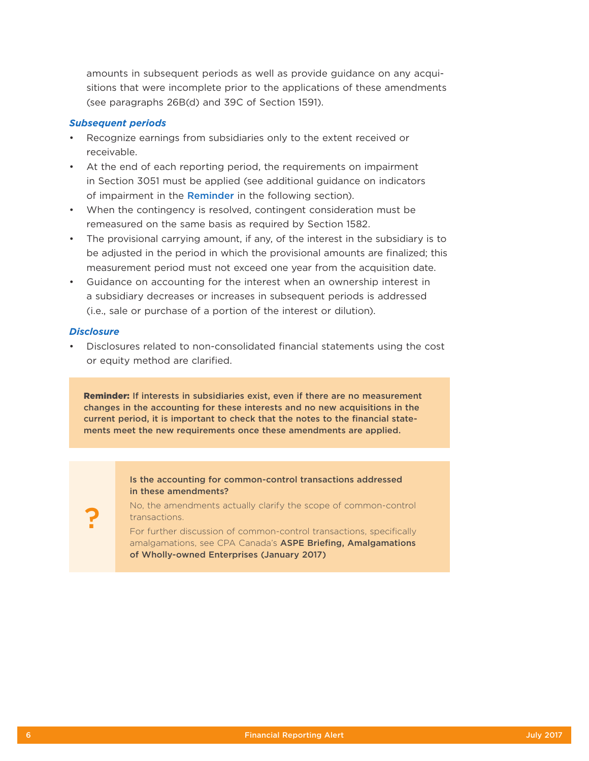amounts in subsequent periods as well as provide guidance on any acquisitions that were incomplete prior to the applications of these amendments (see paragraphs 26B(d) and 39C of Section 1591).

#### *Subsequent periods*

- Recognize earnings from subsidiaries only to the extent received or receivable.
- At the end of each reporting period, the requirements on impairment in Section 3051 must be applied (see additional guidance on indicators of impairment in the [Reminder](#page-6-0) in the following section).
- When the contingency is resolved, contingent consideration must be remeasured on the same basis as required by Section 1582.
- The provisional carrying amount, if any, of the interest in the subsidiary is to be adjusted in the period in which the provisional amounts are finalized; this measurement period must not exceed one year from the acquisition date.
- Guidance on accounting for the interest when an ownership interest in a subsidiary decreases or increases in subsequent periods is addressed (i.e., sale or purchase of a portion of the interest or dilution).

#### *Disclosure*

?

• Disclosures related to non-consolidated financial statements using the cost or equity method are clarified.

Reminder: If interests in subsidiaries exist, even if there are no measurement changes in the accounting for these interests and no new acquisitions in the current period, it is important to check that the notes to the financial statements meet the new requirements once these amendments are applied.

> Is the accounting for common-control transactions addressed in these amendments?

No, the amendments actually clarify the scope of common-control transactions.

For further discussion of common-control transactions, specifically amalgamations, see CPA Canada's ASPE Briefing, Amalgamations [of Wholly-owned Enterprises \(January 2017\)](https://www.knotia.ca/Knowledge/Home.aspx?productID=2048#el_P2)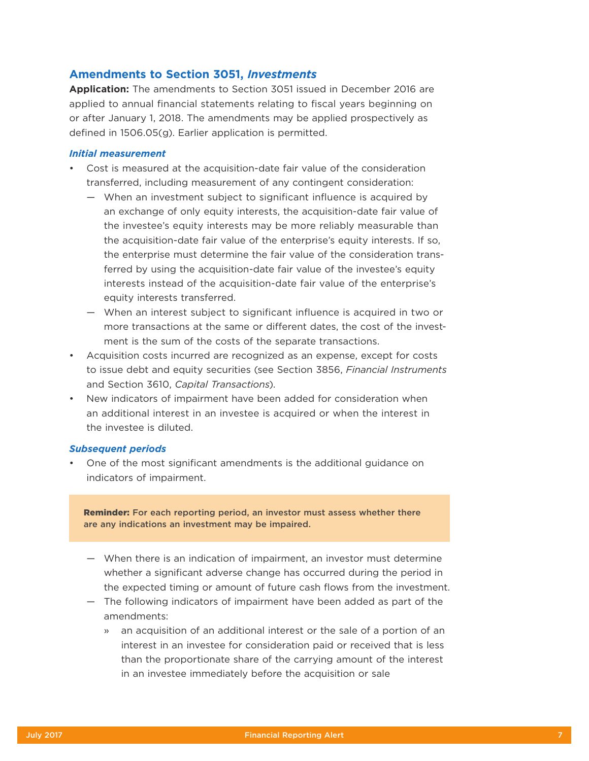## **Amendments to Section 3051,** *Investments*

**Application:** The amendments to Section 3051 issued in December 2016 are applied to annual financial statements relating to fiscal years beginning on or after January 1, 2018. The amendments may be applied prospectively as defined in 1506.05(g). Earlier application is permitted.

#### *Initial measurement*

- Cost is measured at the acquisition-date fair value of the consideration transferred, including measurement of any contingent consideration:
	- When an investment subject to significant influence is acquired by an exchange of only equity interests, the acquisition-date fair value of the investee's equity interests may be more reliably measurable than the acquisition-date fair value of the enterprise's equity interests. If so, the enterprise must determine the fair value of the consideration transferred by using the acquisition-date fair value of the investee's equity interests instead of the acquisition-date fair value of the enterprise's equity interests transferred.
	- When an interest subject to significant influence is acquired in two or more transactions at the same or different dates, the cost of the investment is the sum of the costs of the separate transactions.
- Acquisition costs incurred are recognized as an expense, except for costs to issue debt and equity securities (see Section 3856, *Financial Instruments* and Section 3610, *Capital Transactions*).
- New indicators of impairment have been added for consideration when an additional interest in an investee is acquired or when the interest in the investee is diluted.

#### *Subsequent periods*

• One of the most significant amendments is the additional guidance on indicators of impairment.

<span id="page-6-0"></span>Reminder: For each reporting period, an investor must assess whether there are any indications an investment may be impaired.

- When there is an indication of impairment, an investor must determine whether a significant adverse change has occurred during the period in the expected timing or amount of future cash flows from the investment.
- The following indicators of impairment have been added as part of the amendments:
	- » an acquisition of an additional interest or the sale of a portion of an interest in an investee for consideration paid or received that is less than the proportionate share of the carrying amount of the interest in an investee immediately before the acquisition or sale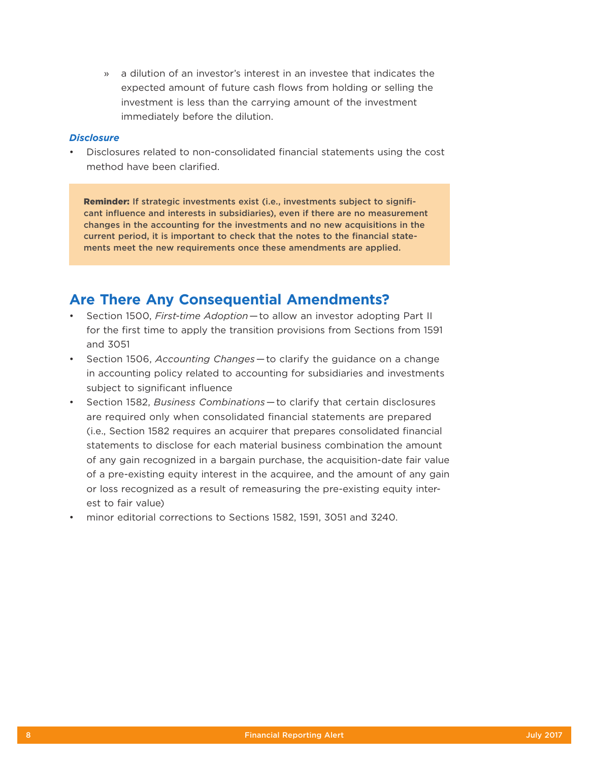» a dilution of an investor's interest in an investee that indicates the expected amount of future cash flows from holding or selling the investment is less than the carrying amount of the investment immediately before the dilution.

### *Disclosure*

• Disclosures related to non-consolidated financial statements using the cost method have been clarified.

Reminder: If strategic investments exist (i.e., investments subject to significant influence and interests in subsidiaries), even if there are no measurement changes in the accounting for the investments and no new acquisitions in the current period, it is important to check that the notes to the financial statements meet the new requirements once these amendments are applied.

## **Are There Any Consequential Amendments?**

- Section 1500, *First-time Adoption* — to allow an investor adopting Part II for the first time to apply the transition provisions from Sections from 1591 and 3051
- Section 1506, *Accounting Changes* — to clarify the guidance on a change in accounting policy related to accounting for subsidiaries and investments subject to significant influence
- Section 1582, *Business Combinations* — to clarify that certain disclosures are required only when consolidated financial statements are prepared (i.e., Section 1582 requires an acquirer that prepares consolidated financial statements to disclose for each material business combination the amount of any gain recognized in a bargain purchase, the acquisition-date fair value of a pre-existing equity interest in the acquiree, and the amount of any gain or loss recognized as a result of remeasuring the pre-existing equity interest to fair value)
- minor editorial corrections to Sections 1582, 1591, 3051 and 3240.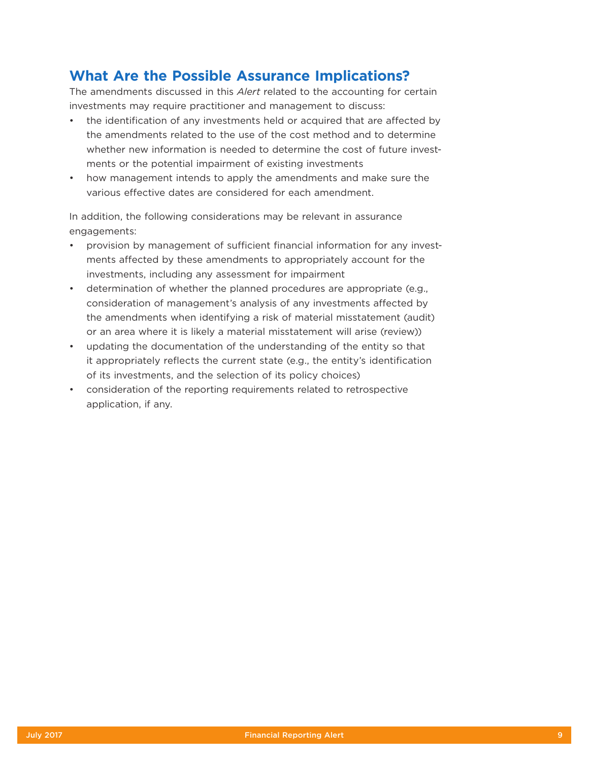## **What Are the Possible Assurance Implications?**

The amendments discussed in this *Alert* related to the accounting for certain investments may require practitioner and management to discuss:

- the identification of any investments held or acquired that are affected by the amendments related to the use of the cost method and to determine whether new information is needed to determine the cost of future investments or the potential impairment of existing investments
- how management intends to apply the amendments and make sure the various effective dates are considered for each amendment.

In addition, the following considerations may be relevant in assurance engagements:

- provision by management of sufficient financial information for any investments affected by these amendments to appropriately account for the investments, including any assessment for impairment
- determination of whether the planned procedures are appropriate (e.g., consideration of management's analysis of any investments affected by the amendments when identifying a risk of material misstatement (audit) or an area where it is likely a material misstatement will arise (review))
- updating the documentation of the understanding of the entity so that it appropriately reflects the current state (e.g., the entity's identification of its investments, and the selection of its policy choices)
- consideration of the reporting requirements related to retrospective application, if any.